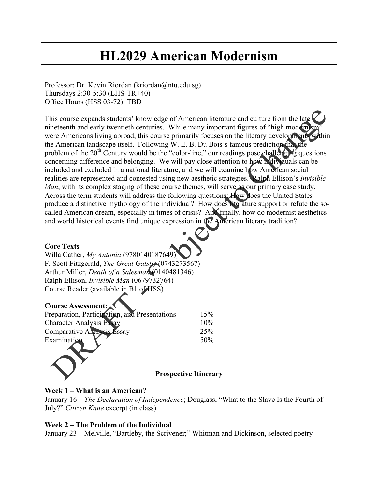# **HL2029 American Modernism**

Professor: Dr. Kevin Riordan (kriordan@ntu.edu.sg) Thursdays 2:30-5:30 (LHS-TR+40) Office Hours (HSS 03-72): TBD

This course expands students' knowledge of American literature and culture from the late nineteenth and early twentieth centuries. While many important figures of "high modern)s were Americans living abroad, this course primarily focuses on the literary developments within the American landscape itself. Following W. E. B. Du Bois's famous prediction that the problem of the 20<sup>th</sup> Century would be the "color-line," our readings pose challenging questions concerning difference and belonging. We will pay close attention to how individuals can be included and excluded in a national literature, and we will examine how American social realities are represented and contested using new aesthetic strategies. Ralph Ellison's *Invisible Man*, with its complex staging of these course themes, will serve as our primary case study. Across the term students will address the following questions: How does the United States produce a distinctive mythology of the individual? How does literature support or refute the socalled American dream, especially in times of crisis? And finally, how do modernist aesthetics and world historical events find unique expression in the American literary tradition?

#### **Core Texts**

Willa Cather, *My Ántonia* (9780140187649) F. Scott Fitzgerald, *The Great Gatsby* (0743273567) Arthur Miller, *Death of a Salesman* (0140481346) Ralph Ellison, *Invisible Man* (0679732764) Course Reader (available in B1 of HSS)

#### **Course Assessment:**

| 15% |
|-----|
|     |
| 10% |
| 25% |
| 50% |
|     |

#### **Prospective Itinerary**

#### **Week 1 – What is an American?**

January 16 – *The Declaration of Independence*; Douglass, "What to the Slave Is the Fourth of July?" *Citizen Kane* excerpt (in class)

#### **Week 2 – The Problem of the Individual**

January 23 – Melville, "Bartleby, the Scrivener;" Whitman and Dickinson, selected poetry